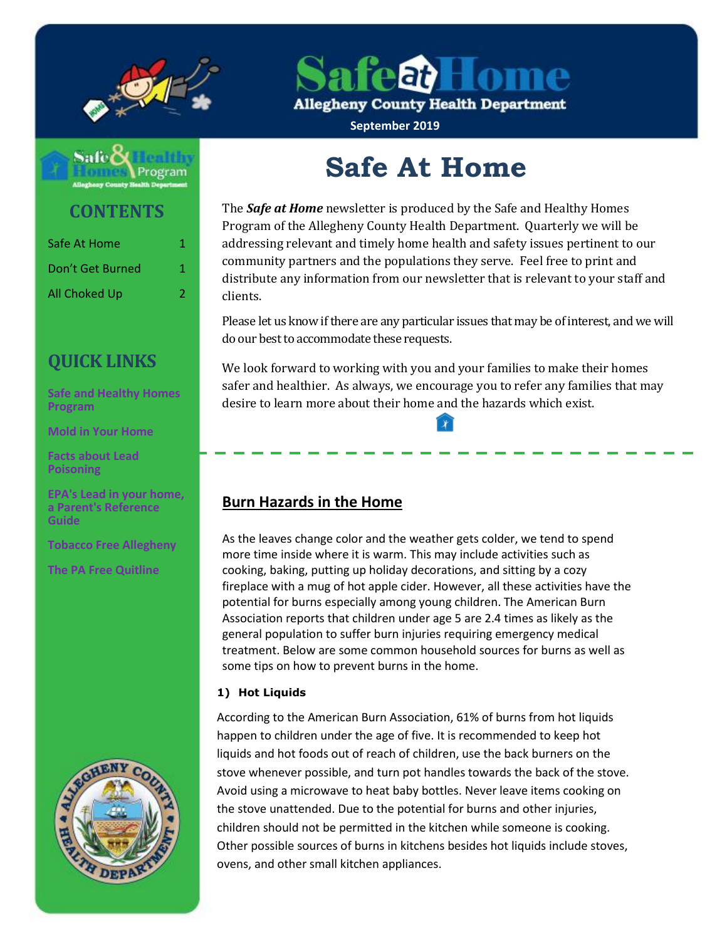

afea) Home

**Allegheny County Health Department** 

**September 2019**



**CONTENTS**

| Safe At Home         | 1. |
|----------------------|----|
| Don't Get Burned     | 1  |
| <b>All Choked Up</b> | 2  |

# **QUICK LINKS**

**[Safe and Healthy Homes](http://www.alleghenycounty.us/Health-Department/Programs/Housing-and-Community-Environment/Safe-and-Healthy-Homes/Safe-and-Healthy-Homes-Program.aspx)  [Program](http://www.alleghenycounty.us/Health-Department/Programs/Housing-and-Community-Environment/Safe-and-Healthy-Homes/Safe-and-Healthy-Homes-Program.aspx)**

**[Mold in Your Home](http://www.alleghenycounty.us/uploadedFiles/Allegheny_Home/Health_Department/Programs/Housing_and_Community_Environment/mold.pdf)**

**[Facts about Lead](http://www.alleghenycounty.us/uploadedFiles/Allegheny_Home/Health_Department/Programs/Special_Initiatives/Lead/FactsAboutLeadPoisoning.pdf)  [Poisoning](http://www.alleghenycounty.us/uploadedFiles/Allegheny_Home/Health_Department/Programs/Special_Initiatives/Lead/FactsAboutLeadPoisoning.pdf)**

**[EPA's Lead in](http://www.alleghenycounty.us/uploadedFiles/Allegheny_Home/Health_Department/Programs/Special_Initiatives/Lead/epa_lead_in_your_home(1).pdf) your home, [a Parent's Reference](http://www.alleghenycounty.us/uploadedFiles/Allegheny_Home/Health_Department/Programs/Special_Initiatives/Lead/epa_lead_in_your_home(1).pdf)  [Guide](http://www.alleghenycounty.us/uploadedFiles/Allegheny_Home/Health_Department/Programs/Special_Initiatives/Lead/epa_lead_in_your_home(1).pdf)**

**[Tobacco Free Allegheny](http://www.tobaccofreeallegheny.org/)**

**[The PA Free Quitline](https://pa.quitlogix.org/)**



# **Safe At Home**

The *Safe at Home* newsletter is produced by the Safe and Healthy Homes Program of the Allegheny County Health Department. Quarterly we will be addressing relevant and timely home health and safety issues pertinent to our community partners and the populations they serve. Feel free to print and distribute any information from our newsletter that is relevant to your staff and clients.

Please let us know if there are any particular issues that may be of interest, and we will do our best to accommodate these requests.

We look forward to working with you and your families to make their homes safer and healthier. As always, we encourage you to refer any families that may desire to learn more about their home and the hazards which exist.

## **Burn Hazards in the Home**

As the leaves change color and the weather gets colder, we tend to spend more time inside where it is warm. This may include activities such as cooking, baking, putting up holiday decorations, and sitting by a cozy fireplace with a mug of hot apple cider. However, all these activities have the potential for burns especially among young children. The American Burn Association reports that children under age 5 are 2.4 times as likely as the general population to suffer burn injuries requiring emergency medical treatment. Below are some common household sources for burns as well as some tips on how to prevent burns in the home.

#### **1) Hot Liquids**

According to the American Burn Association, 61% of burns from hot liquids happen to children under the age of five. It is recommended to keep hot liquids and hot foods out of reach of children, use the back burners on the stove whenever possible, and turn pot handles towards the back of the stove. Avoid using a microwave to heat baby bottles. Never leave items cooking on the stove unattended. Due to the potential for burns and other injuries, children should not be permitted in the kitchen while someone is cooking. Other possible sources of burns in kitchens besides hot liquids include stoves, ovens, and other small kitchen appliances.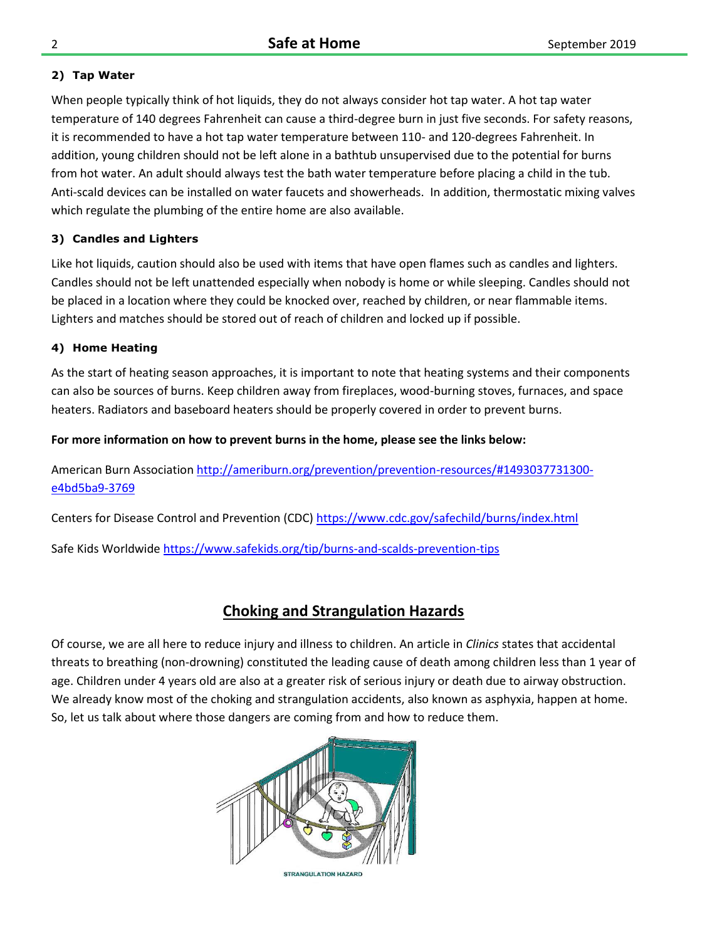#### **2) Tap Water**

When people typically think of hot liquids, they do not always consider hot tap water. A hot tap water temperature of 140 degrees Fahrenheit can cause a third-degree burn in just five seconds. For safety reasons, it is recommended to have a hot tap water temperature between 110- and 120-degrees Fahrenheit. In addition, young children should not be left alone in a bathtub unsupervised due to the potential for burns from hot water. An adult should always test the bath water temperature before placing a child in the tub. Anti-scald devices can be installed on water faucets and showerheads. In addition, thermostatic mixing valves which regulate the plumbing of the entire home are also available.

#### **3) Candles and Lighters**

Like hot liquids, caution should also be used with items that have open flames such as candles and lighters. Candles should not be left unattended especially when nobody is home or while sleeping. Candles should not be placed in a location where they could be knocked over, reached by children, or near flammable items. Lighters and matches should be stored out of reach of children and locked up if possible.

#### **4) Home Heating**

As the start of heating season approaches, it is important to note that heating systems and their components can also be sources of burns. Keep children away from fireplaces, wood-burning stoves, furnaces, and space heaters. Radiators and baseboard heaters should be properly covered in order to prevent burns.

#### **For more information on how to prevent burns in the home, please see the links below:**

American Burn Associatio[n http://ameriburn.org/prevention/prevention-resources/#1493037731300](http://ameriburn.org/prevention/prevention-resources/#1493037731300-e4bd5ba9-3769) [e4bd5ba9-3769](http://ameriburn.org/prevention/prevention-resources/#1493037731300-e4bd5ba9-3769)

Centers for Disease Control and Prevention (CDC[\) https://www.cdc.gov/safechild/burns/index.html](https://www.cdc.gov/safechild/burns/index.html)

Safe Kids Worldwid[e https://www.safekids.org/tip/burns-and-scalds-prevention-tips](https://www.safekids.org/tip/burns-and-scalds-prevention-tips)

## **Choking and Strangulation Hazards**

Of course, we are all here to reduce injury and illness to children. An article in *Clinics* states that accidental threats to breathing (non-drowning) constituted the leading cause of death among children less than 1 year of age. Children under 4 years old are also at a greater risk of serious injury or death due to airway obstruction. We already know most of the choking and strangulation accidents, also known as asphyxia, happen at home. So, let us talk about where those dangers are coming from and how to reduce them.



**STRANGULATION HAZARD**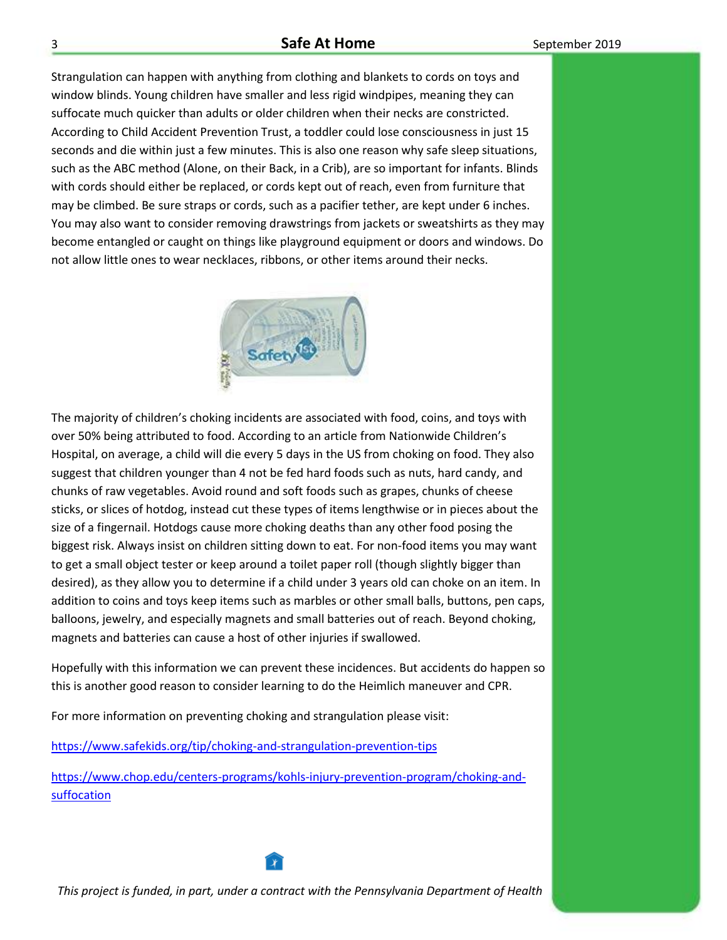#### **Safe At Home Safe At Home** September 2019

Strangulation can happen with anything from clothing and blankets to cords on toys and window blinds. Young children have smaller and less rigid windpipes, meaning they can suffocate much quicker than adults or older children when their necks are constricted. According to Child Accident Prevention Trust, a toddler could lose consciousness in just 15 seconds and die within just a few minutes. This is also one reason why safe sleep situations, such as the ABC method (Alone, on their Back, in a Crib), are so important for infants. Blinds with cords should either be replaced, or cords kept out of reach, even from furniture that may be climbed. Be sure straps or cords, such as a pacifier tether, are kept under 6 inches. You may also want to consider removing drawstrings from jackets or sweatshirts as they may become entangled or caught on things like playground equipment or doors and windows. Do not allow little ones to wear necklaces, ribbons, or other items around their necks.



The majority of children's choking incidents are associated with food, coins, and toys with over 50% being attributed to food. According to an article from Nationwide Children's Hospital, on average, a child will die every 5 days in the US from choking on food. They also suggest that children younger than 4 not be fed hard foods such as nuts, hard candy, and chunks of raw vegetables. Avoid round and soft foods such as grapes, chunks of cheese sticks, or slices of hotdog, instead cut these types of items lengthwise or in pieces about the size of a fingernail. Hotdogs cause more choking deaths than any other food posing the biggest risk. Always insist on children sitting down to eat. For non-food items you may want to get a small object tester or keep around a toilet paper roll (though slightly bigger than desired), as they allow you to determine if a child under 3 years old can choke on an item. In addition to coins and toys keep items such as marbles or other small balls, buttons, pen caps, balloons, jewelry, and especially magnets and small batteries out of reach. Beyond choking, magnets and batteries can cause a host of other injuries if swallowed.

Hopefully with this information we can prevent these incidences. But accidents do happen so this is another good reason to consider learning to do the Heimlich maneuver and CPR.

For more information on preventing choking and strangulation please visit:

<https://www.safekids.org/tip/choking-and-strangulation-prevention-tips>

[https://www.chop.edu/centers-programs/kohls-injury-prevention-program/choking-and](https://www.chop.edu/centers-programs/kohls-injury-prevention-program/choking-and-suffocation)[suffocation](https://www.chop.edu/centers-programs/kohls-injury-prevention-program/choking-and-suffocation)



*This project is funded, in part, under a contract with the Pennsylvania Department of Health*